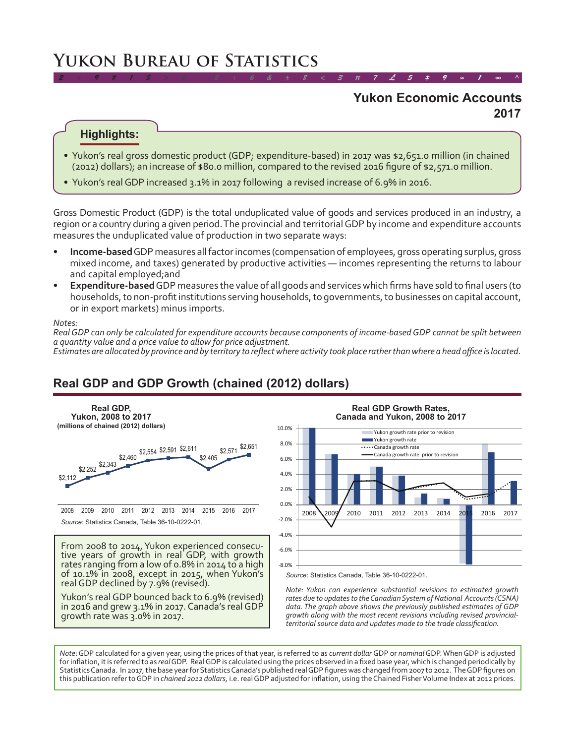# **Yukon Bureau of Statistics**

### **2017 Yukon Economic Accounts**

*2 ÷ 9 # 1 \$ > 0 - 2 + 6 & ± 8 < 3 π 7 £ 5 ‡ 9 ≈ 1 ∞ ^*

#### **Highlights:**

- Yukon's real gross domestic product (GDP; expenditure-based) in 2017 was \$2,651.0 million (in chained (2012) dollars); an increase of \$80.0 million, compared to the revised 2016 figure of \$2,571.0 million.
- Yukon's real GDP increased 3.1% in 2017 following a revised increase of 6.9% in 2016.

Gross Domestic Product (GDP) is the total unduplicated value of goods and services produced in an industry, a region or a country during a given period. The provincial and territorial GDP by income and expenditure accounts measures the unduplicated value of production in two separate ways:

- **Income-based** GDP measures all factor incomes (compensation of employees, gross operating surplus, gross mixed income, and taxes) generated by productive activities — incomes representing the returns to labour and capital employed;and
- **Expenditure-based** GDP measures the value of all goods and services which firms have sold to final users (to households, to non-profit institutions serving households, to governments, to businesses on capital account, or in export markets) minus imports.

#### *Notes:*

*Real GDP can only be calculated for expenditure accounts because components of income-based GDP cannot be split between a quantity value and a price value to allow for price adjustment.*

*Estimates are allocated by province and by territory to reflect where activity took place rather than where a head office is located.*

## **Real GDP and GDP Growth (chained (2012) dollars)**



Yukon's real GDP bounced back to 6.9% (revised) in 2016 and grew 3.1% in 2017. Canada's real GDP growth rate was 3.0% in 2017.



**Real GDP Growth Rates,** 

Source: Statistics Canada, Table 36-10-0222-01.

*Note: Yukon can experience substantial revisions to estimated growth rates due to updates to the Canadian System of National Accounts (CSNA) data. The graph above shows the previously published estimates of GDP growth along with the most recent revisions including revised provincialterritorial source data and updates made to the trade classification.*

*Note*: GDP calculated for a given year, using the prices of that year, is referred to as *current dollar* GDP or *nominal* GDP. When GDP is adjusted for inflation, it is referred to as *real* GDP. Real GDP is calculated using the prices observed in a fixed base year, which is changed periodically by Statistics Canada. In 2017, the base year for Statistics Canada's published real GDP figures was changed from 2007 to 2012. The GDP figures on this publication refer to GDP in *chained 2012 dollars,* i.e. real GDP adjusted for inflation, using the Chained Fisher Volume Index at 2012 prices.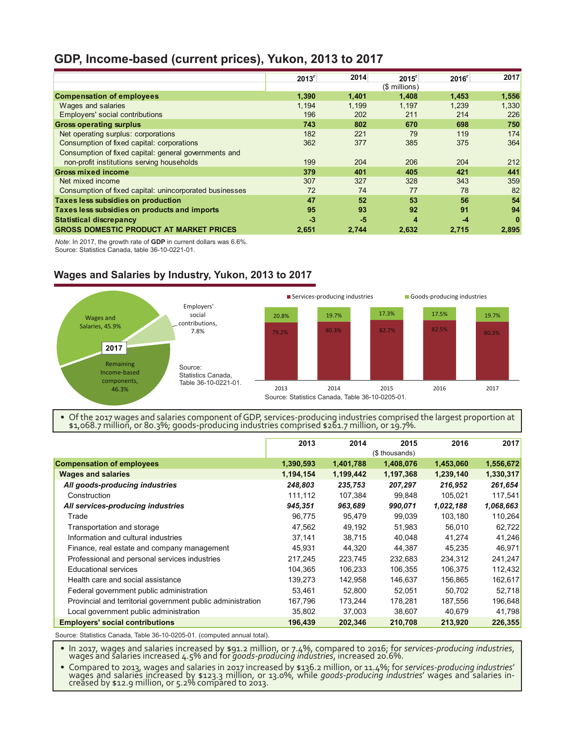### **GDP, Income-based (current prices), Yukon, 2013 to 2017**

|                                                         | 2013 <sup>r</sup> | 2014  | 2015 <sup>r</sup> | 2016 <sup>r</sup> | 2017  |
|---------------------------------------------------------|-------------------|-------|-------------------|-------------------|-------|
|                                                         |                   |       | (\$ millions)     |                   |       |
| <b>Compensation of employees</b>                        | 1.390             | 1.401 | 1.408             | 1,453             | 1,556 |
| Wages and salaries                                      | 1.194             | 1.199 | 1.197             | 1,239             | 1,330 |
| <b>Employers' social contributions</b>                  | 196               | 202   | 211               | 214               | 226   |
| <b>Gross operating surplus</b>                          | 743               | 802   | 670               | 698               | 750   |
| Net operating surplus: corporations                     | 182               | 221   | 79                | 119               | 174   |
| Consumption of fixed capital: corporations              | 362               | 377   | 385               | 375               | 364   |
| Consumption of fixed capital: general governments and   |                   |       |                   |                   |       |
| non-profit institutions serving households              | 199               | 204   | 206               | 204               | 212   |
| <b>Gross mixed income</b>                               | 379               | 401   | 405               | 421               | 441   |
| Net mixed income                                        | 307               | 327   | 328               | 343               | 359   |
| Consumption of fixed capital: unincorporated businesses | 72                | 74    | 77                | 78                | 82    |
| Taxes less subsidies on production                      | 47                | 52    | 53                | 56                | 54    |
| Taxes less subsidies on products and imports            | 95                | 93    | 92                | 91                | 94    |
| <b>Statistical discrepancy</b>                          | $-3$              | $-5$  | 4                 | $-4$              | 0     |
| <b>GROSS DOMESTIC PRODUCT AT MARKET PRICES</b>          | 2.651             | 2.744 | 2.632             | 2,715             | 2,895 |

*Note*: In 2017, the growth rate of **GDP** in current dollars was 6.6%.

Source: Statistics Canada, table 36-10-0221-01.

#### **Wages and Salaries by Industry, Yukon, 2013 to 2017**



• Of the 2017 wages and salaries component of GDP, services-producing industries comprised the largest proportion at \$1,068.7 million, or 80.3%; goods-producing industries comprised \$261.7 million, or 19.7%.

|                                                             | 2013      | 2014      | 2015           | 2016      | 2017      |
|-------------------------------------------------------------|-----------|-----------|----------------|-----------|-----------|
|                                                             |           |           | (\$ thousands) |           |           |
| <b>Compensation of employees</b>                            | 1,390,593 | 1,401,788 | 1,408,076      | 1,453,060 | 1,556,672 |
| <b>Wages and salaries</b>                                   | 1,194,154 | 1,199,442 | 1,197,368      | 1,239,140 | 1,330,317 |
| All goods-producing industries                              | 248,803   | 235,753   | 207,297        | 216,952   | 261,654   |
| Construction                                                | 111,112   | 107,384   | 99,848         | 105,021   | 117,541   |
| All services-producing industries                           | 945,351   | 963,689   | 990,071        | 1,022,188 | 1,068,663 |
| Trade                                                       | 96,775    | 95,479    | 99,039         | 103,180   | 110,264   |
| Transportation and storage                                  | 47,562    | 49,192    | 51,983         | 56,010    | 62,722    |
| Information and cultural industries                         | 37,141    | 38,715    | 40,048         | 41,274    | 41,246    |
| Finance, real estate and company management                 | 45,931    | 44,320    | 44,387         | 45,235    | 46,971    |
| Professional and personal services industries               | 217,245   | 223,745   | 232,683        | 234,312   | 241,247   |
| <b>Educational services</b>                                 | 104,365   | 106,233   | 106,355        | 106,375   | 112,432   |
| Health care and social assistance                           | 139,273   | 142,958   | 146,637        | 156,865   | 162,617   |
| Federal government public administration                    | 53,461    | 52,800    | 52,051         | 50,702    | 52,718    |
| Provincial and territorial government public administration | 167,796   | 173,244   | 178,281        | 187,556   | 196,648   |
| Local government public administration                      | 35,802    | 37,003    | 38,607         | 40,679    | 41,798    |
| <b>Employers' social contributions</b>                      | 196,439   | 202,346   | 210,708        | 213,920   | 226,355   |

Source: Statistics Canada, Table 36-10-0205-01. (computed annual total).

• In 2017, wages and salaries increased by \$91.2 million, or 7.4%, compared to 2016; for *services-producing industries*, wages and salaries increased 4.5% and for *goods-producing industries*, increased 20.6%.

• Compared to 2013, wages and salaries in 2017 increased by \$136.2 million, or 11.4%; for *services-producing industries*' wages and salaries increased by \$123.3 million, or 13.0%, while *goods-producing industries'* wages and salaries in-<br>creased by \$12.9 million, or 5.2% compared to 2013.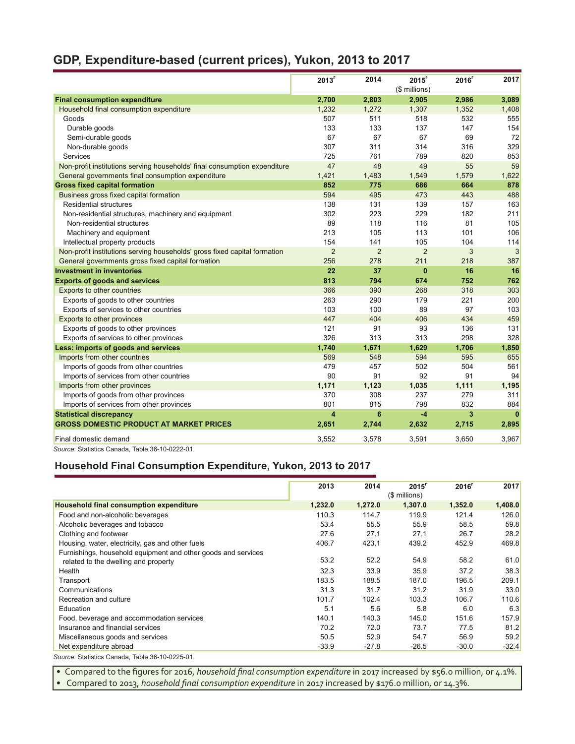## **GDP, Expenditure-based (current prices), Yukon, 2013 to 2017**

|                                                                           | $2013$ <sup>r</sup> | 2014           | 2015 <sup>r</sup><br>(\$ millions) | 2016 <sup>r</sup> | 2017         |
|---------------------------------------------------------------------------|---------------------|----------------|------------------------------------|-------------------|--------------|
| <b>Final consumption expenditure</b>                                      | 2,700               | 2,803          | 2,905                              | 2,986             | 3,089        |
| Household final consumption expenditure                                   | 1,232               | 1,272          | 1,307                              | 1,352             | 1,408        |
| Goods                                                                     | 507                 | 511            | 518                                | 532               | 555          |
| Durable goods                                                             | 133                 | 133            | 137                                | 147               | 154          |
| Semi-durable goods                                                        | 67                  | 67             | 67                                 | 69                | 72           |
| Non-durable goods                                                         | 307                 | 311            | 314                                | 316               | 329          |
| Services                                                                  | 725                 | 761            | 789                                | 820               | 853          |
| Non-profit institutions serving households' final consumption expenditure | 47                  | 48             | 49                                 | 55                | 59           |
| General governments final consumption expenditure                         | 1,421               | 1,483          | 1,549                              | 1,579             | 1,622        |
| <b>Gross fixed capital formation</b>                                      | 852                 | 775            | 686                                | 664               | 878          |
| Business gross fixed capital formation                                    | 594                 | 495            | 473                                | 443               | 488          |
| <b>Residential structures</b>                                             | 138                 | 131            | 139                                | 157               | 163          |
| Non-residential structures, machinery and equipment                       | 302                 | 223            | 229                                | 182               | 211          |
| Non-residential structures                                                | 89                  | 118            | 116                                | 81                | 105          |
| Machinery and equipment                                                   | 213                 | 105            | 113                                | 101               | 106          |
| Intellectual property products                                            | 154                 | 141            | 105                                | 104               | 114          |
| Non-profit institutions serving households' gross fixed capital formation | $\overline{2}$      | $\overline{2}$ | $\overline{2}$                     | 3                 | 3            |
| General governments gross fixed capital formation                         | 256                 | 278            | 211                                | 218               | 387          |
| <b>Investment in inventories</b>                                          | 22                  | 37             | $\mathbf{0}$                       | 16                | 16           |
| <b>Exports of goods and services</b>                                      | 813                 | 794            | 674                                | 752               | 762          |
| Exports to other countries                                                | 366                 | 390            | 268                                | 318               | 303          |
| Exports of goods to other countries                                       | 263                 | 290            | 179                                | 221               | 200          |
| Exports of services to other countries                                    | 103                 | 100            | 89                                 | 97                | 103          |
| Exports to other provinces                                                | 447                 | 404            | 406                                | 434               | 459          |
| Exports of goods to other provinces                                       | 121                 | 91             | 93                                 | 136               | 131          |
| Exports of services to other provinces                                    | 326                 | 313            | 313                                | 298               | 328          |
| Less: imports of goods and services                                       | 1,740               | 1,671          | 1,629                              | 1,706             | 1,850        |
| Imports from other countries                                              | 569                 | 548            | 594                                | 595               | 655          |
| Imports of goods from other countries                                     | 479                 | 457            | 502                                | 504               | 561          |
| Imports of services from other countries                                  | 90                  | 91             | 92                                 | 91                | 94           |
| Imports from other provinces                                              | 1,171               | 1,123          | 1.035                              | 1,111             | 1,195        |
| Imports of goods from other provinces                                     | 370                 | 308            | 237                                | 279               | 311          |
| Imports of services from other provinces                                  | 801                 | 815            | 798                                | 832               | 884          |
| <b>Statistical discrepancy</b>                                            | 4                   | 6              | $-4$                               | 3                 | $\mathbf{0}$ |
| <b>GROSS DOMESTIC PRODUCT AT MARKET PRICES</b>                            | 2,651               | 2,744          | 2,632                              | 2,715             | 2,895        |
| Final domestic demand                                                     | 3,552               | 3,578          | 3,591                              | 3,650             | 3,967        |
| Source: Statistics Canada, Table 36-10-0222-01.                           |                     |                |                                    |                   |              |

### **Household Final Consumption Expenditure, Yukon, 2013 to 2017**

|                                                               | 2013    | 2014    | 2015 <sup>r</sup><br>(\$ millions) | 2016 <sup>r</sup> | 2017    |
|---------------------------------------------------------------|---------|---------|------------------------------------|-------------------|---------|
| Household final consumption expenditure                       | 1,232.0 | 1,272.0 | 1,307.0                            | 1,352.0           | 1,408.0 |
| Food and non-alcoholic beverages                              | 110.3   | 114.7   | 119.9                              | 121.4             | 126.0   |
| Alcoholic beverages and tobacco                               | 53.4    | 55.5    | 55.9                               | 58.5              | 59.8    |
| Clothing and footwear                                         | 27.6    | 27.1    | 27.1                               | 26.7              | 28.2    |
| Housing, water, electricity, gas and other fuels              | 406.7   | 423.1   | 439.2                              | 452.9             | 469.8   |
| Furnishings, household equipment and other goods and services |         |         |                                    |                   |         |
| related to the dwelling and property                          | 53.2    | 52.2    | 54.9                               | 58.2              | 61.0    |
| Health                                                        | 32.3    | 33.9    | 35.9                               | 37.2              | 38.3    |
| Transport                                                     | 183.5   | 188.5   | 187.0                              | 196.5             | 209.1   |
| Communications                                                | 31.3    | 31.7    | 31.2                               | 31.9              | 33.0    |
| Recreation and culture                                        | 101.7   | 102.4   | 103.3                              | 106.7             | 110.6   |
| Education                                                     | 5.1     | 5.6     | 5.8                                | 6.0               | 6.3     |
| Food, beverage and accommodation services                     | 140.1   | 140.3   | 145.0                              | 151.6             | 157.9   |
| Insurance and financial services                              | 70.2    | 72.0    | 73.7                               | 77.5              | 81.2    |
| Miscellaneous goods and services                              | 50.5    | 52.9    | 54.7                               | 56.9              | 59.2    |
| Net expenditure abroad                                        | $-33.9$ | $-27.8$ | $-26.5$                            | $-30.0$           | $-32.4$ |
| Source: Statistics Canada, Table 36-10-0225-01.               |         |         |                                    |                   |         |

• Compared to the figures for 2016, *household final consumption expenditure* in 2017 increased by \$56.0 million, or 4.1%. • Compared to 2013, *household final consumption expenditure* in 2017 increased by \$176.0 million, or 14.3%.